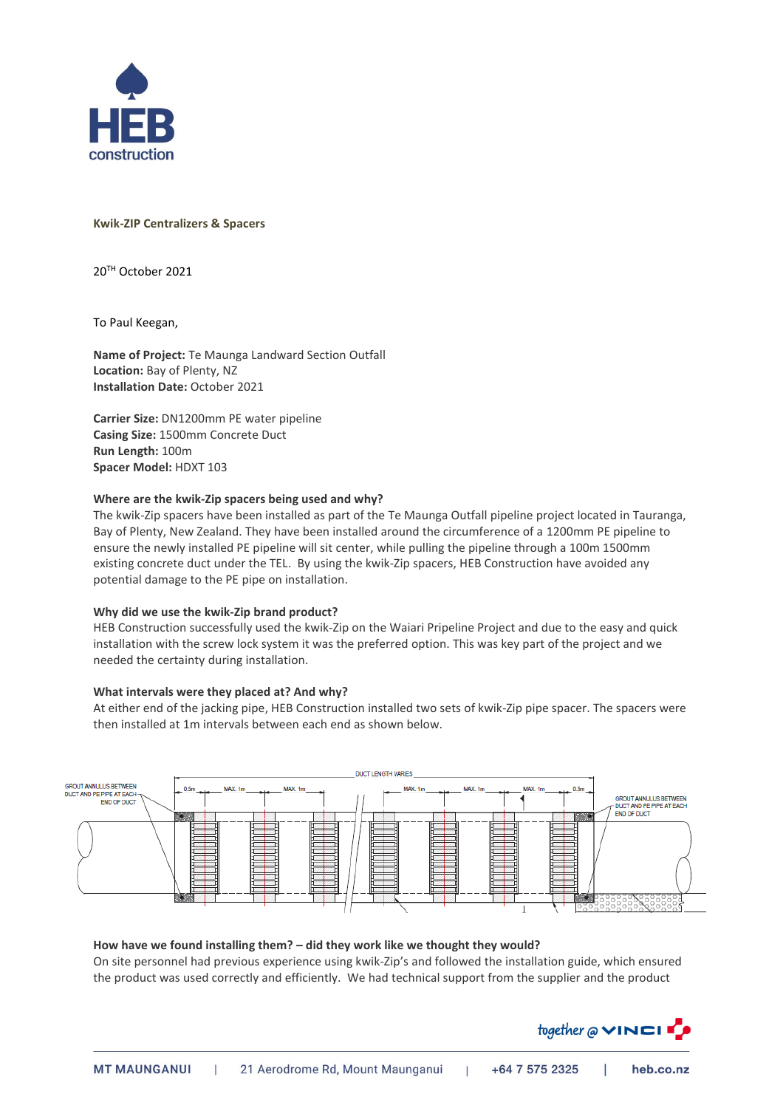

# **Kwik-ZIP Centralizers & Spacers**

20TH October 2021

To Paul Keegan,

**Name of Project:** Te Maunga Landward Section Outfall **Location:** Bay of Plenty, NZ **Installation Date:** October 2021

**Carrier Size:** DN1200mm PE water pipeline **Casing Size:** 1500mm Concrete Duct **Run Length:** 100m **Spacer Model:** HDXT 103

# **Where are the kwik-Zip spacers being used and why?**

The kwik-Zip spacers have been installed as part of the Te Maunga Outfall pipeline project located in Tauranga, Bay of Plenty, New Zealand. They have been installed around the circumference of a 1200mm PE pipeline to ensure the newly installed PE pipeline will sit center, while pulling the pipeline through a 100m 1500mm existing concrete duct under the TEL. By using the kwik-Zip spacers, HEB Construction have avoided any potential damage to the PE pipe on installation.

### **Why did we use the kwik-Zip brand product?**

HEB Construction successfully used the kwik-Zip on the Waiari Pripeline Project and due to the easy and quick installation with the screw lock system it was the preferred option. This was key part of the project and we needed the certainty during installation.

### **What intervals were they placed at? And why?**

At either end of the jacking pipe, HEB Construction installed two sets of kwik-Zip pipe spacer. The spacers were then installed at 1m intervals between each end as shown below.



## **How have we found installing them? – did they work like we thought they would?**

On site personnel had previous experience using kwik-Zip's and followed the installation guide, which ensured the product was used correctly and efficiently. We had technical support from the supplier and the product